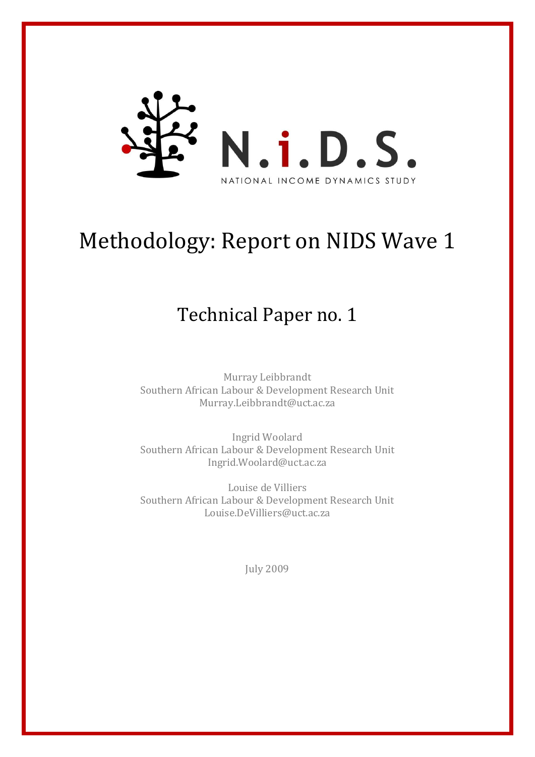

# Methodology: Report on NIDS Wave 1

## Technical Paper no. 1

Murray Leibbrandt Southern African Labour & Development Research Unit [Murray.Leibbrandt@uct.ac.za](mailto:Murray.Leibbrandt@uct.ac.za)

Ingrid Woolard Southern African Labour & Development Research Unit [Ingrid.Woolard@uct.ac.za](mailto:Ingrid.Woolard@uct.ac.za)

Louise de Villiers Southern African Labour & Development Research Unit [Louise.DeVilliers@uct.ac.za](mailto:Louise.DeVilliers@uct.ac.za)

July 2009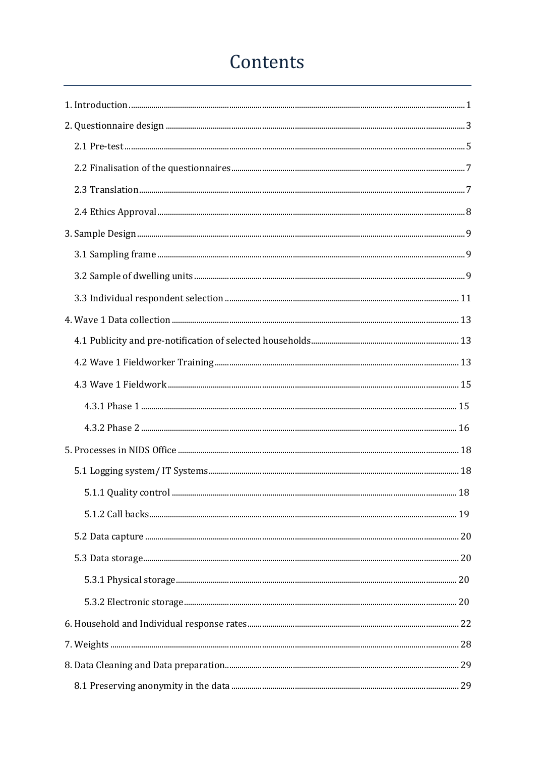## Contents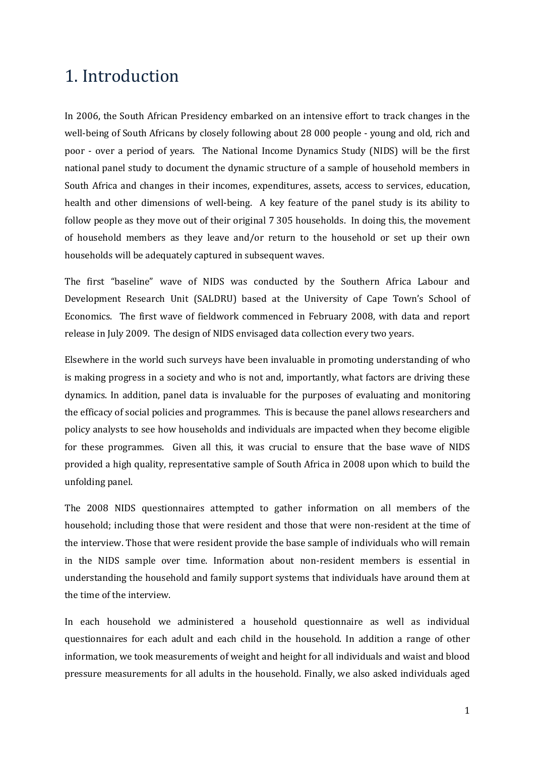## <span id="page-3-0"></span>1. Introduction

In 2006, the South African Presidency embarked on an intensive effort to track changes in the well-being of South Africans by closely following about 28 000 people - young and old, rich and poor - over a period of years. The National Income Dynamics Study (NIDS) will be the first national panel study to document the dynamic structure of a sample of household members in South Africa and changes in their incomes, expenditures, assets, access to services, education, health and other dimensions of well-being. A key feature of the panel study is its ability to follow people as they move out of their original 7 305 households. In doing this, the movement of household members as they leave and/or return to the household or set up their own households will be adequately captured in subsequent waves.

The first "baseline" wave of NIDS was conducted by the Southern Africa Labour and Development Research Unit (SALDRU) based at the University of Cape Town's School of Economics. The first wave of fieldwork commenced in February 2008, with data and report release in July 2009. The design of NIDS envisaged data collection every two years.

Elsewhere in the world such surveys have been invaluable in promoting understanding of who is making progress in a society and who is not and, importantly, what factors are driving these dynamics. In addition, panel data is invaluable for the purposes of evaluating and monitoring the efficacy of social policies and programmes. This is because the panel allows researchers and policy analysts to see how households and individuals are impacted when they become eligible for these programmes. Given all this, it was crucial to ensure that the base wave of NIDS provided a high quality, representative sample of South Africa in 2008 upon which to build the unfolding panel.

The 2008 NIDS questionnaires attempted to gather information on all members of the household; including those that were resident and those that were non-resident at the time of the interview. Those that were resident provide the base sample of individuals who will remain in the NIDS sample over time. Information about non-resident members is essential in understanding the household and family support systems that individuals have around them at the time of the interview.

In each household we administered a household questionnaire as well as individual questionnaires for each adult and each child in the household. In addition a range of other information, we took measurements of weight and height for all individuals and waist and blood pressure measurements for all adults in the household. Finally, we also asked individuals aged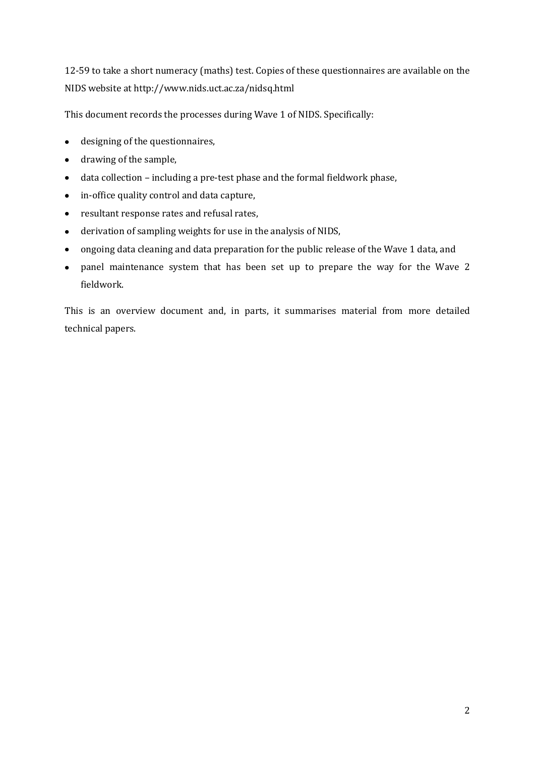12-59 to take a short numeracy (maths) test. Copies of these questionnaires are available on the NIDS website at http://www.nids.uct.ac.za/nidsq.html

This document records the processes during Wave 1 of NIDS. Specifically:

- designing of the questionnaires,
- drawing of the sample,  $\bullet$  .
- data collection including a pre-test phase and the formal fieldwork phase,  $\bullet$
- in-office quality control and data capture,
- resultant response rates and refusal rates,
- derivation of sampling weights for use in the analysis of NIDS,
- ongoing data cleaning and data preparation for the public release of the Wave 1 data, and  $\bullet$
- panel maintenance system that has been set up to prepare the way for the Wave 2  $\bullet$ fieldwork.

This is an overview document and, in parts, it summarises material from more detailed technical papers.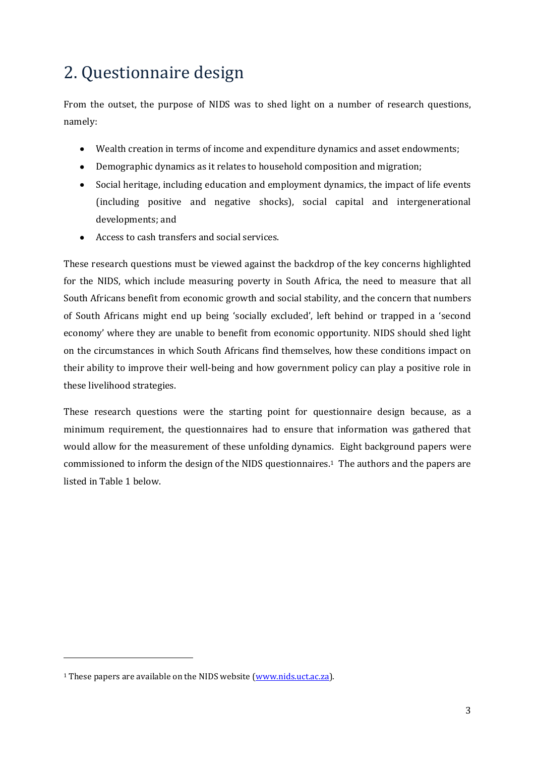## <span id="page-5-0"></span>2. Questionnaire design

From the outset, the purpose of NIDS was to shed light on a number of research questions, namely:

- Wealth creation in terms of income and expenditure dynamics and asset endowments;
- Demographic dynamics as it relates to household composition and migration;
- Social heritage, including education and employment dynamics, the impact of life events (including positive and negative shocks), social capital and intergenerational developments; and
- Access to cash transfers and social services.  $\bullet$

These research questions must be viewed against the backdrop of the key concerns highlighted for the NIDS, which include measuring poverty in South Africa, the need to measure that all South Africans benefit from economic growth and social stability, and the concern that numbers of South Africans might end up being 'socially excluded', left behind or trapped in a 'second economy' where they are unable to benefit from economic opportunity. NIDS should shed light on the circumstances in which South Africans find themselves, how these conditions impact on their ability to improve their well-being and how government policy can play a positive role in these livelihood strategies.

These research questions were the starting point for questionnaire design because, as a minimum requirement, the questionnaires had to ensure that information was gathered that would allow for the measurement of these unfolding dynamics. Eight background papers were commissioned to inform the design of the NIDS questionnaires.1 The authors and the papers are listed in Table 1 below.

l

<sup>1</sup> These papers are available on the NIDS website [\(www.nids.uct.ac.za\)](http://www.nids.uct.ac.za/).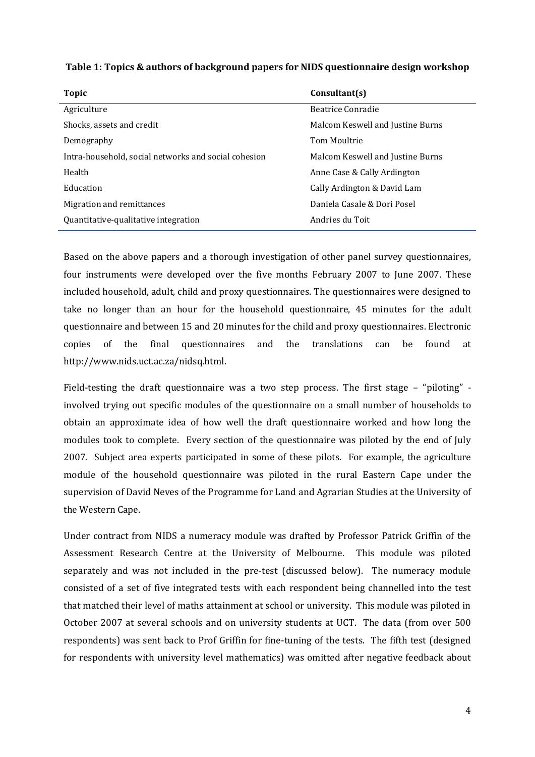| Table 1: Topics & authors of background papers for NIDS questionnaire design workshop |  |  |
|---------------------------------------------------------------------------------------|--|--|
|---------------------------------------------------------------------------------------|--|--|

| Topic                                                | Consultant(s)                    |
|------------------------------------------------------|----------------------------------|
| Agriculture                                          | Beatrice Conradie                |
| Shocks, assets and credit                            | Malcom Keswell and Justine Burns |
| Demography                                           | Tom Moultrie                     |
| Intra-household, social networks and social cohesion | Malcom Keswell and Justine Burns |
| Health                                               | Anne Case & Cally Ardington      |
| Education                                            | Cally Ardington & David Lam      |
| Migration and remittances                            | Daniela Casale & Dori Posel      |
| Quantitative-qualitative integration                 | Andries du Toit                  |

Based on the above papers and a thorough investigation of other panel survey questionnaires, four instruments were developed over the five months February 2007 to June 2007. These included household, adult, child and proxy questionnaires. The questionnaires were designed to take no longer than an hour for the household questionnaire, 45 minutes for the adult questionnaire and between 15 and 20 minutes for the child and proxy questionnaires. Electronic copies of the final questionnaires and the translations can be found at http://www.nids.uct.ac.za/nidsq.html.

Field-testing the draft questionnaire was a two step process. The first stage – "piloting" involved trying out specific modules of the questionnaire on a small number of households to obtain an approximate idea of how well the draft questionnaire worked and how long the modules took to complete. Every section of the questionnaire was piloted by the end of July 2007. Subject area experts participated in some of these pilots. For example, the agriculture module of the household questionnaire was piloted in the rural Eastern Cape under the supervision of David Neves of the Programme for Land and Agrarian Studies at the University of the Western Cape.

Under contract from NIDS a numeracy module was drafted by Professor Patrick Griffin of the Assessment Research Centre at the University of Melbourne. This module was piloted separately and was not included in the pre-test (discussed below). The numeracy module consisted of a set of five integrated tests with each respondent being channelled into the test that matched their level of maths attainment at school or university. This module was piloted in October 2007 at several schools and on university students at UCT. The data (from over 500 respondents) was sent back to Prof Griffin for fine-tuning of the tests. The fifth test (designed for respondents with university level mathematics) was omitted after negative feedback about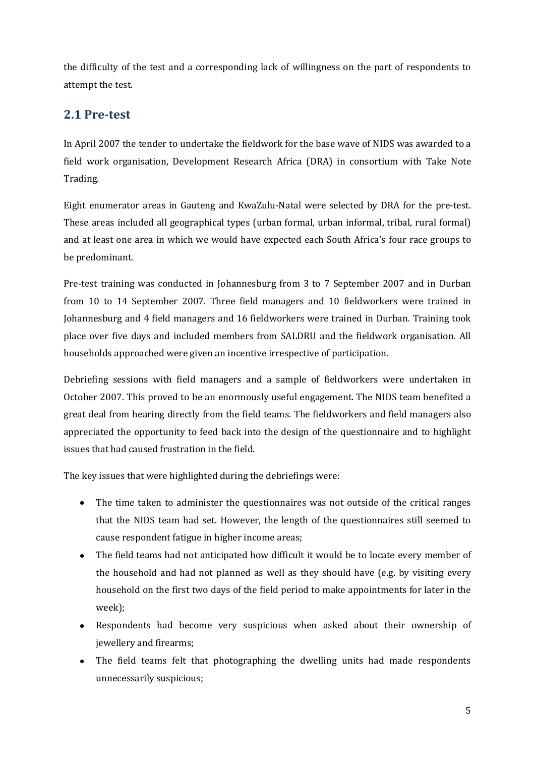the difficulty of the test and a corresponding lack of willingness on the part of respondents to attempt the test.

## <span id="page-7-0"></span>**2.1 Pre-test**

In April 2007 the tender to undertake the fieldwork for the base wave of NIDS was awarded to a field work organisation, Development Research Africa (DRA) in consortium with Take Note Trading.

Eight enumerator areas in Gauteng and KwaZulu-Natal were selected by DRA for the pre-test. These areas included all geographical types (urban formal, urban informal, tribal, rural formal) and at least one area in which we would have expected each South Africa's four race groups to be predominant.

Pre-test training was conducted in Johannesburg from 3 to 7 September 2007 and in Durban from 10 to 14 September 2007. Three field managers and 10 fieldworkers were trained in Johannesburg and 4 field managers and 16 fieldworkers were trained in Durban. Training took place over five days and included members from SALDRU and the fieldwork organisation. All households approached were given an incentive irrespective of participation.

Debriefing sessions with field managers and a sample of fieldworkers were undertaken in October 2007. This proved to be an enormously useful engagement. The NIDS team benefited a great deal from hearing directly from the field teams. The fieldworkers and field managers also appreciated the opportunity to feed back into the design of the questionnaire and to highlight issues that had caused frustration in the field.

The key issues that were highlighted during the debriefings were:

- The time taken to administer the questionnaires was not outside of the critical ranges that the NIDS team had set. However, the length of the questionnaires still seemed to cause respondent fatigue in higher income areas;
- The field teams had not anticipated how difficult it would be to locate every member of the household and had not planned as well as they should have (e.g. by visiting every household on the first two days of the field period to make appointments for later in the week);
- Respondents had become very suspicious when asked about their ownership of jewellery and firearms;
- The field teams felt that photographing the dwelling units had made respondents unnecessarily suspicious;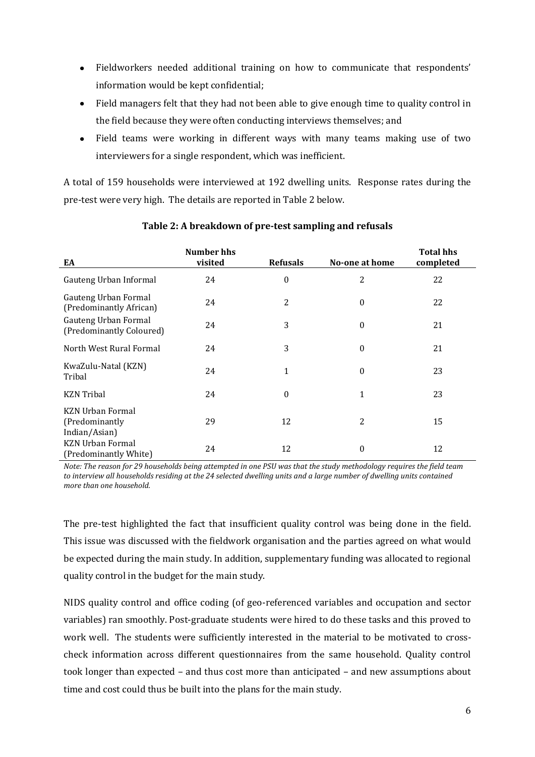- Fieldworkers needed additional training on how to communicate that respondents' information would be kept confidential;
- Field managers felt that they had not been able to give enough time to quality control in the field because they were often conducting interviews themselves; and
- Field teams were working in different ways with many teams making use of two interviewers for a single respondent, which was inefficient.

A total of 159 households were interviewed at 192 dwelling units. Response rates during the pre-test were very high. The details are reported in Table 2 below.

| EA                                                          | <b>Number hhs</b><br>visited | <b>Refusals</b>  | No-one at home   | <b>Total hhs</b><br>completed |
|-------------------------------------------------------------|------------------------------|------------------|------------------|-------------------------------|
| Gauteng Urban Informal                                      | 24                           | 0                | 2                | 22                            |
| Gauteng Urban Formal<br>(Predominantly African)             | 24                           | 2                | $\boldsymbol{0}$ | 22                            |
| Gauteng Urban Formal<br>(Predominantly Coloured)            | 24                           | 3                | $\boldsymbol{0}$ | 21                            |
| North West Rural Formal                                     | 24                           | 3                | $\boldsymbol{0}$ | 21                            |
| KwaZulu-Natal (KZN)<br>Tribal                               | 24                           | $\mathbf{1}$     | $\boldsymbol{0}$ | 23                            |
| <b>KZN</b> Tribal                                           | 24                           | $\boldsymbol{0}$ | 1                | 23                            |
| <b>KZN Urban Formal</b><br>(Predominantly)<br>Indian/Asian) | 29                           | 12               | 2                | 15                            |
| <b>KZN Urban Formal</b><br>(Predominantly White)            | 24                           | 12               | 0                | 12                            |

#### **Table 2: A breakdown of pre-test sampling and refusals**

*Note: The reason for 29 households being attempted in one PSU was that the study methodology requires the field team to interview all households residing at the 24 selected dwelling units and a large number of dwelling units contained more than one household.*

The pre-test highlighted the fact that insufficient quality control was being done in the field. This issue was discussed with the fieldwork organisation and the parties agreed on what would be expected during the main study. In addition, supplementary funding was allocated to regional quality control in the budget for the main study.

NIDS quality control and office coding (of geo-referenced variables and occupation and sector variables) ran smoothly. Post-graduate students were hired to do these tasks and this proved to work well. The students were sufficiently interested in the material to be motivated to crosscheck information across different questionnaires from the same household. Quality control took longer than expected – and thus cost more than anticipated – and new assumptions about time and cost could thus be built into the plans for the main study.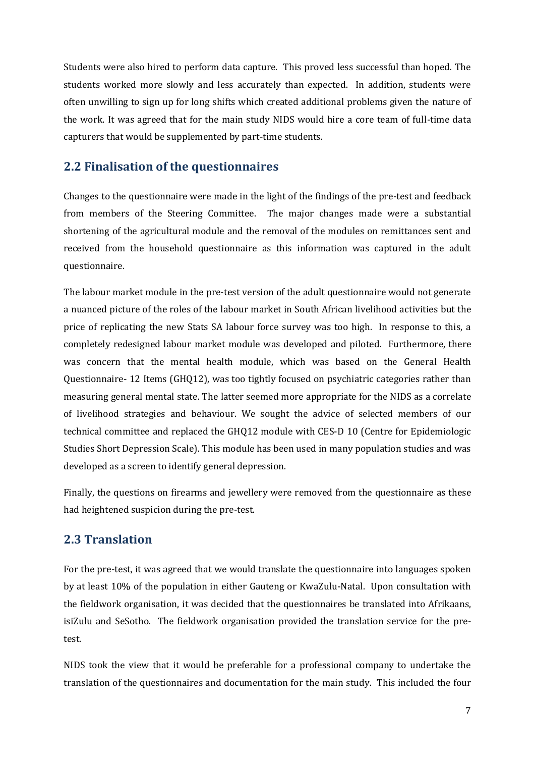Students were also hired to perform data capture. This proved less successful than hoped. The students worked more slowly and less accurately than expected. In addition, students were often unwilling to sign up for long shifts which created additional problems given the nature of the work. It was agreed that for the main study NIDS would hire a core team of full-time data capturers that would be supplemented by part-time students.

### <span id="page-9-0"></span>**2.2 Finalisation of the questionnaires**

Changes to the questionnaire were made in the light of the findings of the pre-test and feedback from members of the Steering Committee. The major changes made were a substantial shortening of the agricultural module and the removal of the modules on remittances sent and received from the household questionnaire as this information was captured in the adult questionnaire.

The labour market module in the pre-test version of the adult questionnaire would not generate a nuanced picture of the roles of the labour market in South African livelihood activities but the price of replicating the new Stats SA labour force survey was too high. In response to this, a completely redesigned labour market module was developed and piloted. Furthermore, there was concern that the mental health module, which was based on the General Health Questionnaire- 12 Items (GHQ12), was too tightly focused on psychiatric categories rather than measuring general mental state. The latter seemed more appropriate for the NIDS as a correlate of livelihood strategies and behaviour. We sought the advice of selected members of our technical committee and replaced the GHQ12 module with CES-D 10 (Centre for Epidemiologic Studies Short Depression Scale). This module has been used in many population studies and was developed as a screen to identify general depression.

Finally, the questions on firearms and jewellery were removed from the questionnaire as these had heightened suspicion during the pre-test.

## <span id="page-9-1"></span>**2.3 Translation**

For the pre-test, it was agreed that we would translate the questionnaire into languages spoken by at least 10% of the population in either Gauteng or KwaZulu-Natal. Upon consultation with the fieldwork organisation, it was decided that the questionnaires be translated into Afrikaans, isiZulu and SeSotho. The fieldwork organisation provided the translation service for the pretest.

NIDS took the view that it would be preferable for a professional company to undertake the translation of the questionnaires and documentation for the main study. This included the four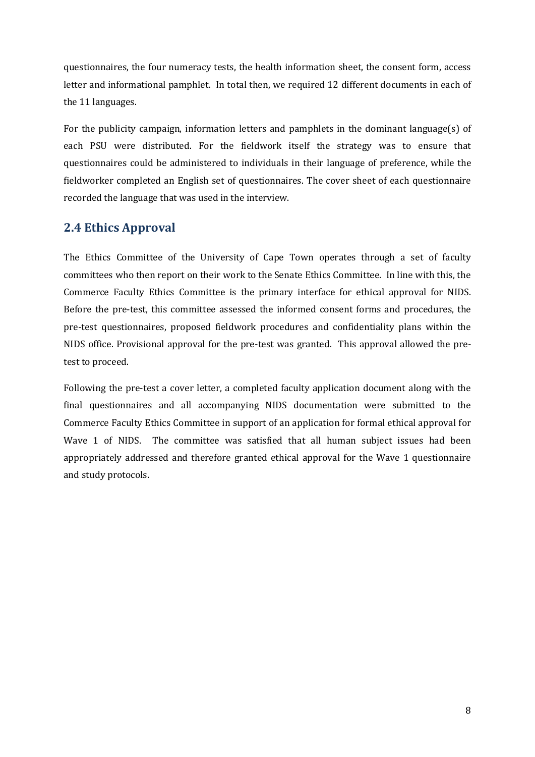questionnaires, the four numeracy tests, the health information sheet, the consent form, access letter and informational pamphlet. In total then, we required 12 different documents in each of the 11 languages.

For the publicity campaign, information letters and pamphlets in the dominant language(s) of each PSU were distributed. For the fieldwork itself the strategy was to ensure that questionnaires could be administered to individuals in their language of preference, while the fieldworker completed an English set of questionnaires. The cover sheet of each questionnaire recorded the language that was used in the interview.

### <span id="page-10-0"></span>**2.4 Ethics Approval**

The Ethics Committee of the University of Cape Town operates through a set of faculty committees who then report on their work to the Senate Ethics Committee. In line with this, the Commerce Faculty Ethics Committee is the primary interface for ethical approval for NIDS. Before the pre-test, this committee assessed the informed consent forms and procedures, the pre-test questionnaires, proposed fieldwork procedures and confidentiality plans within the NIDS office. Provisional approval for the pre-test was granted. This approval allowed the pretest to proceed.

Following the pre-test a cover letter, a completed faculty application document along with the final questionnaires and all accompanying NIDS documentation were submitted to the Commerce Faculty Ethics Committee in support of an application for formal ethical approval for Wave 1 of NIDS. The committee was satisfied that all human subject issues had been appropriately addressed and therefore granted ethical approval for the Wave 1 questionnaire and study protocols.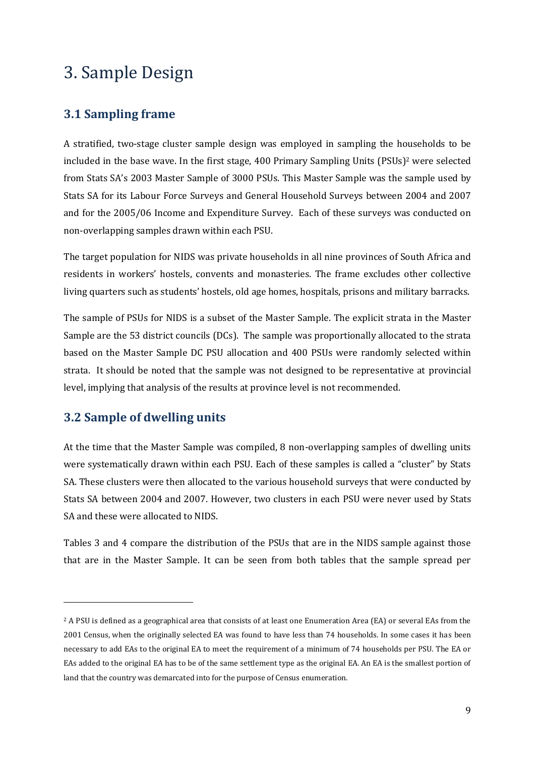## <span id="page-11-0"></span>3. Sample Design

### <span id="page-11-1"></span>**3.1 Sampling frame**

A stratified, two-stage cluster sample design was employed in sampling the households to be included in the base wave. In the first stage, 400 Primary Sampling Units (PSUs) <sup>2</sup> were selected from Stats SA's 2003 Master Sample of 3000 PSUs. This Master Sample was the sample used by Stats SA for its Labour Force Surveys and General Household Surveys between 2004 and 2007 and for the 2005/06 Income and Expenditure Survey. Each of these surveys was conducted on non-overlapping samples drawn within each PSU.

The target population for NIDS was private households in all nine provinces of South Africa and residents in workers' hostels, convents and monasteries. The frame excludes other collective living quarters such as students' hostels, old age homes, hospitals, prisons and military barracks.

The sample of PSUs for NIDS is a subset of the Master Sample. The explicit strata in the Master Sample are the 53 district councils (DCs). The sample was proportionally allocated to the strata based on the Master Sample DC PSU allocation and 400 PSUs were randomly selected within strata. It should be noted that the sample was not designed to be representative at provincial level, implying that analysis of the results at province level is not recommended.

## <span id="page-11-2"></span>**3.2 Sample of dwelling units**

l

At the time that the Master Sample was compiled, 8 non-overlapping samples of dwelling units were systematically drawn within each PSU. Each of these samples is called a "cluster" by Stats SA. These clusters were then allocated to the various household surveys that were conducted by Stats SA between 2004 and 2007. However, two clusters in each PSU were never used by Stats SA and these were allocated to NIDS.

Tables 3 and 4 compare the distribution of the PSUs that are in the NIDS sample against those that are in the Master Sample. It can be seen from both tables that the sample spread per

<sup>2</sup> A PSU is defined as a geographical area that consists of at least one Enumeration Area (EA) or several EAs from the 2001 Census, when the originally selected EA was found to have less than 74 households. In some cases it has been necessary to add EAs to the original EA to meet the requirement of a minimum of 74 households per PSU. The EA or EAs added to the original EA has to be of the same settlement type as the original EA. An EA is the smallest portion of land that the country was demarcated into for the purpose of Census enumeration.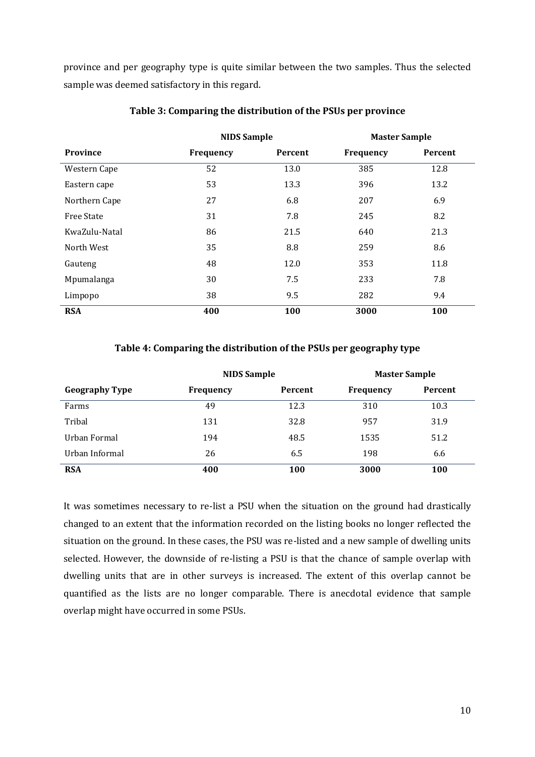province and per geography type is quite similar between the two samples. Thus the selected sample was deemed satisfactory in this regard.

|                   | <b>NIDS Sample</b> |         | <b>Master Sample</b> |         |
|-------------------|--------------------|---------|----------------------|---------|
| Province          | Frequency          | Percent | Frequency            | Percent |
| Western Cape      | 52                 | 13.0    | 385                  | 12.8    |
| Eastern cape      | 53                 | 13.3    | 396                  | 13.2    |
| Northern Cape     | 27                 | 6.8     | 207                  | 6.9     |
| <b>Free State</b> | 31                 | 7.8     | 245                  | 8.2     |
| KwaZulu-Natal     | 86                 | 21.5    | 640                  | 21.3    |
| North West        | 35                 | 8.8     | 259                  | 8.6     |
| Gauteng           | 48                 | 12.0    | 353                  | 11.8    |
| Mpumalanga        | 30                 | 7.5     | 233                  | 7.8     |
| Limpopo           | 38                 | 9.5     | 282                  | 9.4     |
| <b>RSA</b>        | 400                | 100     | 3000                 | 100     |

#### **Table 3: Comparing the distribution of the PSUs per province**

#### **Table 4: Comparing the distribution of the PSUs per geography type**

|                       | <b>NIDS</b> Sample |                | <b>Master Sample</b> |         |
|-----------------------|--------------------|----------------|----------------------|---------|
| <b>Geography Type</b> | Frequency          | <b>Percent</b> | Frequency            | Percent |
| Farms                 | 49                 | 12.3           | 310                  | 10.3    |
| Tribal                | 131                | 32.8           | 957                  | 31.9    |
| Urban Formal          | 194                | 48.5           | 1535                 | 51.2    |
| Urban Informal        | 26                 | 6.5            | 198                  | 6.6     |
| <b>RSA</b>            | 400                | 100            | 3000                 | 100     |

It was sometimes necessary to re-list a PSU when the situation on the ground had drastically changed to an extent that the information recorded on the listing books no longer reflected the situation on the ground. In these cases, the PSU was re-listed and a new sample of dwelling units selected. However, the downside of re-listing a PSU is that the chance of sample overlap with dwelling units that are in other surveys is increased. The extent of this overlap cannot be quantified as the lists are no longer comparable. There is anecdotal evidence that sample overlap might have occurred in some PSUs.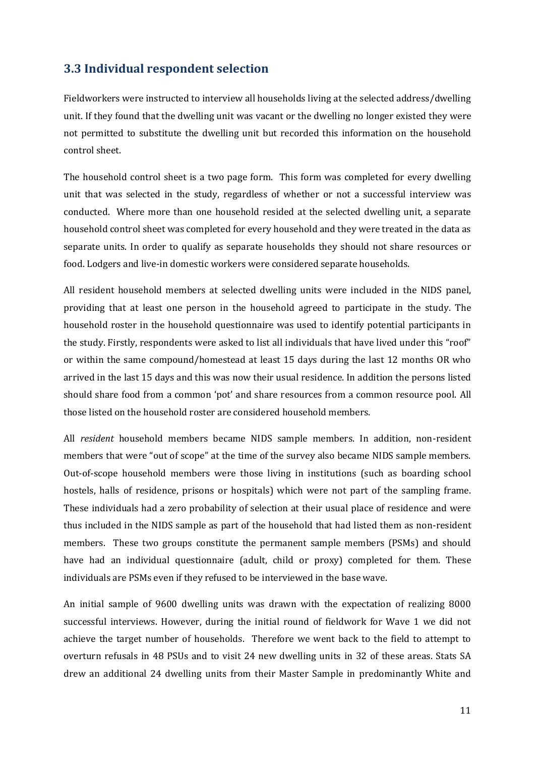### <span id="page-13-0"></span>**3.3 Individual respondent selection**

Fieldworkers were instructed to interview all households living at the selected address/dwelling unit. If they found that the dwelling unit was vacant or the dwelling no longer existed they were not permitted to substitute the dwelling unit but recorded this information on the household control sheet.

The household control sheet is a two page form. This form was completed for every dwelling unit that was selected in the study, regardless of whether or not a successful interview was conducted. Where more than one household resided at the selected dwelling unit, a separate household control sheet was completed for every household and they were treated in the data as separate units. In order to qualify as separate households they should not share resources or food. Lodgers and live-in domestic workers were considered separate households.

All resident household members at selected dwelling units were included in the NIDS panel, providing that at least one person in the household agreed to participate in the study. The household roster in the household questionnaire was used to identify potential participants in the study. Firstly, respondents were asked to list all individuals that have lived under this "roof" or within the same compound/homestead at least 15 days during the last 12 months OR who arrived in the last 15 days and this was now their usual residence. In addition the persons listed should share food from a common 'pot' and share resources from a common resource pool. All those listed on the household roster are considered household members.

All *resident* household members became NIDS sample members. In addition, non-resident members that were "out of scope" at the time of the survey also became NIDS sample members. Out-of-scope household members were those living in institutions (such as boarding school hostels, halls of residence, prisons or hospitals) which were not part of the sampling frame. These individuals had a zero probability of selection at their usual place of residence and were thus included in the NIDS sample as part of the household that had listed them as non-resident members. These two groups constitute the permanent sample members (PSMs) and should have had an individual questionnaire (adult, child or proxy) completed for them. These individuals are PSMs even if they refused to be interviewed in the base wave.

An initial sample of 9600 dwelling units was drawn with the expectation of realizing 8000 successful interviews. However, during the initial round of fieldwork for Wave 1 we did not achieve the target number of households. Therefore we went back to the field to attempt to overturn refusals in 48 PSUs and to visit 24 new dwelling units in 32 of these areas. Stats SA drew an additional 24 dwelling units from their Master Sample in predominantly White and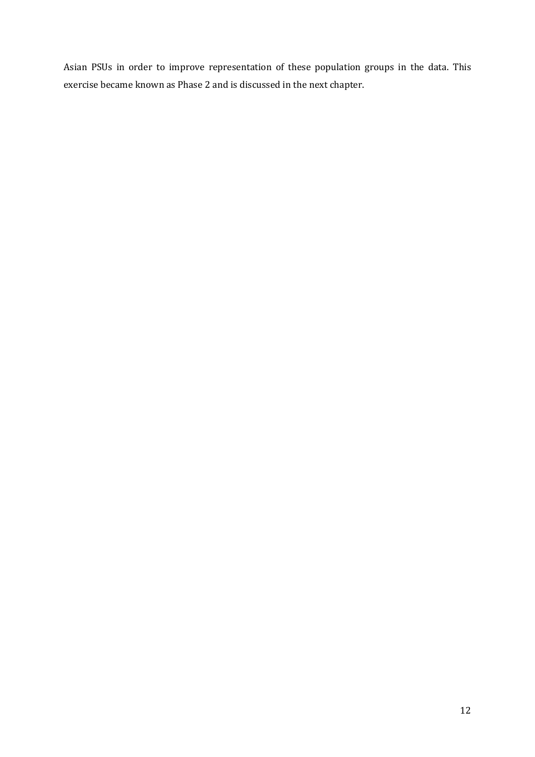Asian PSUs in order to improve representation of these population groups in the data. This exercise became known as Phase 2 and is discussed in the next chapter.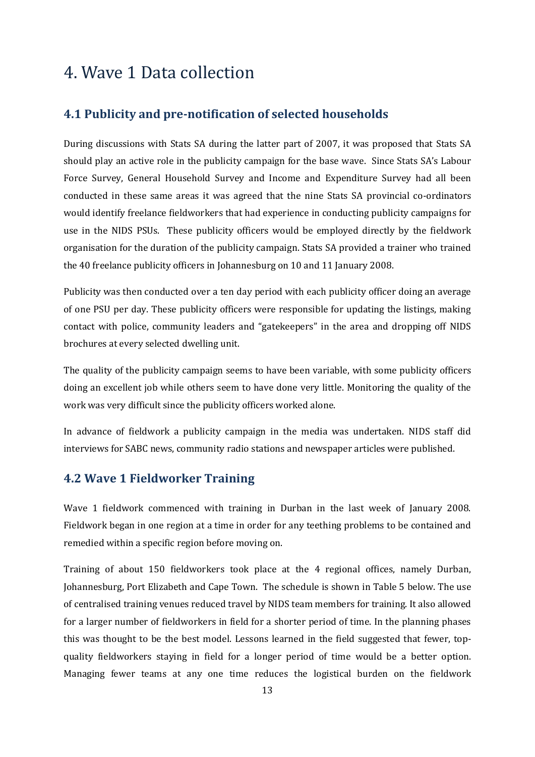## <span id="page-15-0"></span>4. Wave 1 Data collection

#### <span id="page-15-1"></span>**4.1 Publicity and pre-notification of selected households**

During discussions with Stats SA during the latter part of 2007, it was proposed that Stats SA should play an active role in the publicity campaign for the base wave. Since Stats SA's Labour Force Survey, General Household Survey and Income and Expenditure Survey had all been conducted in these same areas it was agreed that the nine Stats SA provincial co-ordinators would identify freelance fieldworkers that had experience in conducting publicity campaigns for use in the NIDS PSUs. These publicity officers would be employed directly by the fieldwork organisation for the duration of the publicity campaign. Stats SA provided a trainer who trained the 40 freelance publicity officers in Johannesburg on 10 and 11 January 2008.

Publicity was then conducted over a ten day period with each publicity officer doing an average of one PSU per day. These publicity officers were responsible for updating the listings, making contact with police, community leaders and "gatekeepers" in the area and dropping off NIDS brochures at every selected dwelling unit.

The quality of the publicity campaign seems to have been variable, with some publicity officers doing an excellent job while others seem to have done very little. Monitoring the quality of the work was very difficult since the publicity officers worked alone.

In advance of fieldwork a publicity campaign in the media was undertaken. NIDS staff did interviews for SABC news, community radio stations and newspaper articles were published.

### <span id="page-15-2"></span>**4.2 Wave 1 Fieldworker Training**

Wave 1 fieldwork commenced with training in Durban in the last week of January 2008. Fieldwork began in one region at a time in order for any teething problems to be contained and remedied within a specific region before moving on.

Training of about 150 fieldworkers took place at the 4 regional offices, namely Durban, Johannesburg, Port Elizabeth and Cape Town. The schedule is shown in Table 5 below. The use of centralised training venues reduced travel by NIDS team members for training. It also allowed for a larger number of fieldworkers in field for a shorter period of time. In the planning phases this was thought to be the best model. Lessons learned in the field suggested that fewer, topquality fieldworkers staying in field for a longer period of time would be a better option. Managing fewer teams at any one time reduces the logistical burden on the fieldwork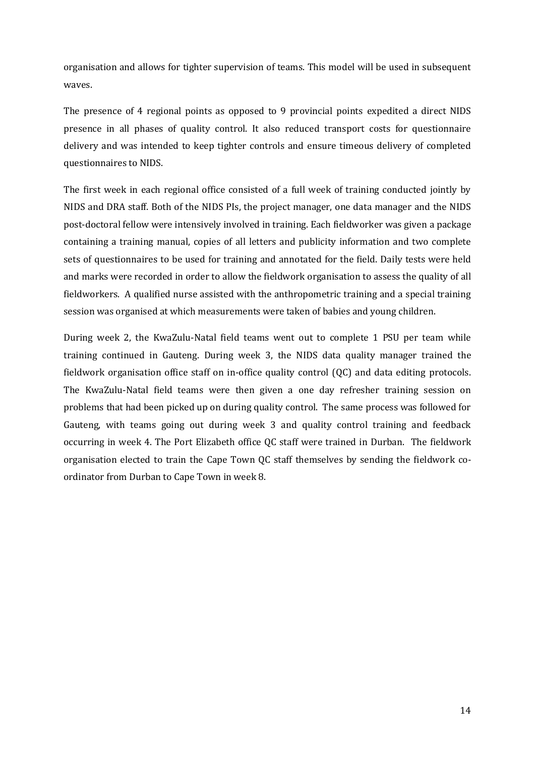organisation and allows for tighter supervision of teams. This model will be used in subsequent waves.

The presence of 4 regional points as opposed to 9 provincial points expedited a direct NIDS presence in all phases of quality control. It also reduced transport costs for questionnaire delivery and was intended to keep tighter controls and ensure timeous delivery of completed questionnaires to NIDS.

The first week in each regional office consisted of a full week of training conducted jointly by NIDS and DRA staff. Both of the NIDS PIs, the project manager, one data manager and the NIDS post-doctoral fellow were intensively involved in training. Each fieldworker was given a package containing a training manual, copies of all letters and publicity information and two complete sets of questionnaires to be used for training and annotated for the field. Daily tests were held and marks were recorded in order to allow the fieldwork organisation to assess the quality of all fieldworkers. A qualified nurse assisted with the anthropometric training and a special training session was organised at which measurements were taken of babies and young children.

During week 2, the KwaZulu-Natal field teams went out to complete 1 PSU per team while training continued in Gauteng. During week 3, the NIDS data quality manager trained the fieldwork organisation office staff on in-office quality control (QC) and data editing protocols. The KwaZulu-Natal field teams were then given a one day refresher training session on problems that had been picked up on during quality control. The same process was followed for Gauteng, with teams going out during week 3 and quality control training and feedback occurring in week 4. The Port Elizabeth office QC staff were trained in Durban. The fieldwork organisation elected to train the Cape Town QC staff themselves by sending the fieldwork coordinator from Durban to Cape Town in week 8.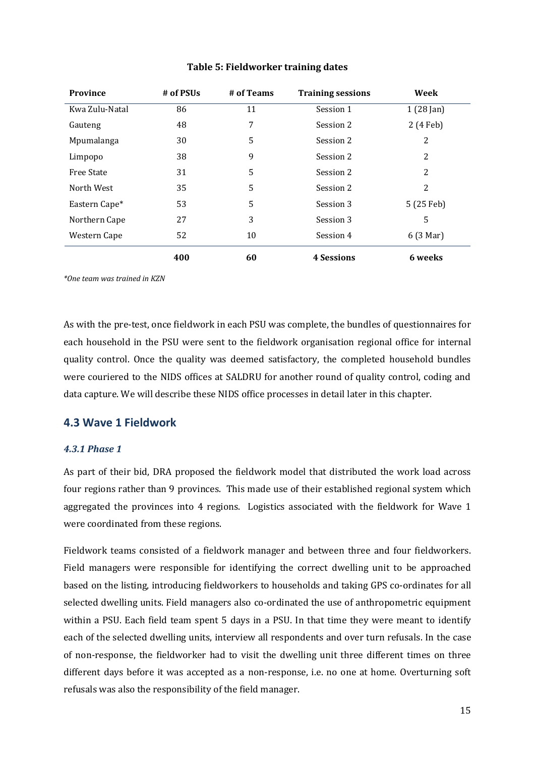| <b>Province</b>   | # of PSUs | # of Teams | <b>Training sessions</b> | Week                |
|-------------------|-----------|------------|--------------------------|---------------------|
| Kwa Zulu-Natal    | 86        | 11         | Session 1                | $1(28 \text{ Jan})$ |
| Gauteng           | 48        | 7          | Session 2                | 2 (4 Feb)           |
| Mpumalanga        | 30        | 5          | Session 2                | 2                   |
| Limpopo           | 38        | 9          | Session 2                | 2                   |
| <b>Free State</b> | 31        | 5          | Session 2                | 2                   |
| North West        | 35        | 5          | Session 2                | 2                   |
| Eastern Cape*     | 53        | 5          | Session 3                | 5 (25 Feb)          |
| Northern Cape     | 27        | 3          | Session 3                | 5                   |
| Western Cape      | 52        | 10         | Session 4                | 6 (3 Mar)           |
|                   | 400       | 60         | <b>4 Sessions</b>        | 6 weeks             |

#### **Table 5: Fieldworker training dates**

*\*One team was trained in KZN*

As with the pre-test, once fieldwork in each PSU was complete, the bundles of questionnaires for each household in the PSU were sent to the fieldwork organisation regional office for internal quality control. Once the quality was deemed satisfactory, the completed household bundles were couriered to the NIDS offices at SALDRU for another round of quality control, coding and data capture. We will describe these NIDS office processes in detail later in this chapter.

#### <span id="page-17-0"></span>**4.3 Wave 1 Fieldwork**

#### <span id="page-17-1"></span>*4.3.1 Phase 1*

As part of their bid, DRA proposed the fieldwork model that distributed the work load across four regions rather than 9 provinces. This made use of their established regional system which aggregated the provinces into 4 regions. Logistics associated with the fieldwork for Wave 1 were coordinated from these regions.

Fieldwork teams consisted of a fieldwork manager and between three and four fieldworkers. Field managers were responsible for identifying the correct dwelling unit to be approached based on the listing, introducing fieldworkers to households and taking GPS co-ordinates for all selected dwelling units. Field managers also co-ordinated the use of anthropometric equipment within a PSU. Each field team spent 5 days in a PSU. In that time they were meant to identify each of the selected dwelling units, interview all respondents and over turn refusals. In the case of non-response, the fieldworker had to visit the dwelling unit three different times on three different days before it was accepted as a non-response, i.e. no one at home. Overturning soft refusals was also the responsibility of the field manager.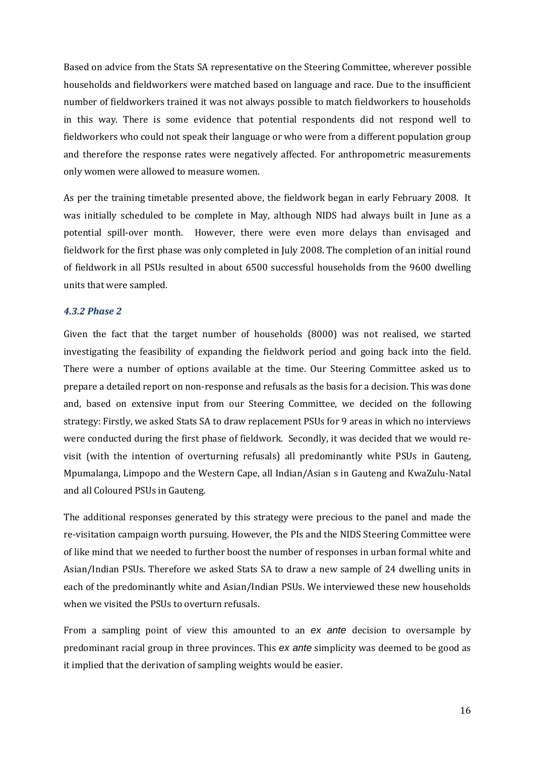Based on advice from the Stats SA representative on the Steering Committee, wherever possible households and fieldworkers were matched based on language and race. Due to the insufficient number of fieldworkers trained it was not always possible to match fieldworkers to households in this way. There is some evidence that potential respondents did not respond well to fieldworkers who could not speak their language or who were from a different population group and therefore the response rates were negatively affected. For anthropometric measurements only women were allowed to measure women.

As per the training timetable presented above, the fieldwork began in early February 2008. It was initially scheduled to be complete in May, although NIDS had always built in June as a potential spill-over month. However, there were even more delays than envisaged and fieldwork for the first phase was only completed in July 2008. The completion of an initial round of fieldwork in all PSUs resulted in about 6500 successful households from the 9600 dwelling units that were sampled.

#### <span id="page-18-0"></span>*4.3.2 Phase 2*

Given the fact that the target number of households (8000) was not realised, we started investigating the feasibility of expanding the fieldwork period and going back into the field. There were a number of options available at the time. Our Steering Committee asked us to prepare a detailed report on non-response and refusals as the basis for a decision. This was done and, based on extensive input from our Steering Committee, we decided on the following strategy: Firstly, we asked Stats SA to draw replacement PSUs for 9 areas in which no interviews were conducted during the first phase of fieldwork. Secondly, it was decided that we would revisit (with the intention of overturning refusals) all predominantly white PSUs in Gauteng, Mpumalanga, Limpopo and the Western Cape, all Indian/Asian s in Gauteng and KwaZulu‐Natal and all Coloured PSUs in Gauteng.

The additional responses generated by this strategy were precious to the panel and made the re-visitation campaign worth pursuing. However, the PIs and the NIDS Steering Committee were of like mind that we needed to further boost the number of responses in urban formal white and Asian/Indian PSUs. Therefore we asked Stats SA to draw a new sample of 24 dwelling units in each of the predominantly white and Asian/Indian PSUs. We interviewed these new households when we visited the PSUs to overturn refusals.

From a sampling point of view this amounted to an *ex ante* decision to oversample by predominant racial group in three provinces. This *ex ante* simplicity was deemed to be good as it implied that the derivation of sampling weights would be easier.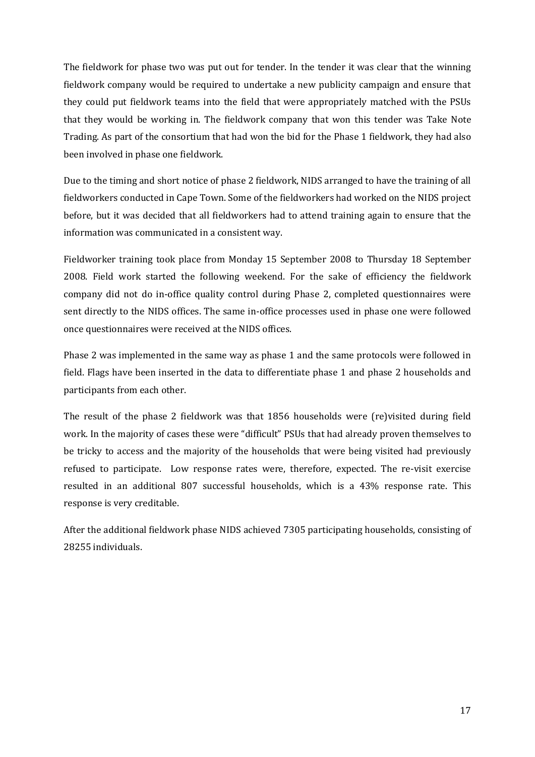The fieldwork for phase two was put out for tender. In the tender it was clear that the winning fieldwork company would be required to undertake a new publicity campaign and ensure that they could put fieldwork teams into the field that were appropriately matched with the PSUs that they would be working in. The fieldwork company that won this tender was Take Note Trading. As part of the consortium that had won the bid for the Phase 1 fieldwork, they had also been involved in phase one fieldwork.

Due to the timing and short notice of phase 2 fieldwork, NIDS arranged to have the training of all fieldworkers conducted in Cape Town. Some of the fieldworkers had worked on the NIDS project before, but it was decided that all fieldworkers had to attend training again to ensure that the information was communicated in a consistent way.

Fieldworker training took place from Monday 15 September 2008 to Thursday 18 September 2008. Field work started the following weekend. For the sake of efficiency the fieldwork company did not do in-office quality control during Phase 2, completed questionnaires were sent directly to the NIDS offices. The same in-office processes used in phase one were followed once questionnaires were received at the NIDS offices.

Phase 2 was implemented in the same way as phase 1 and the same protocols were followed in field. Flags have been inserted in the data to differentiate phase 1 and phase 2 households and participants from each other.

The result of the phase 2 fieldwork was that 1856 households were (re)visited during field work. In the majority of cases these were "difficult" PSUs that had already proven themselves to be tricky to access and the majority of the households that were being visited had previously refused to participate. Low response rates were, therefore, expected. The re-visit exercise resulted in an additional 807 successful households, which is a 43% response rate. This response is very creditable.

After the additional fieldwork phase NIDS achieved 7305 participating households, consisting of 28255 individuals.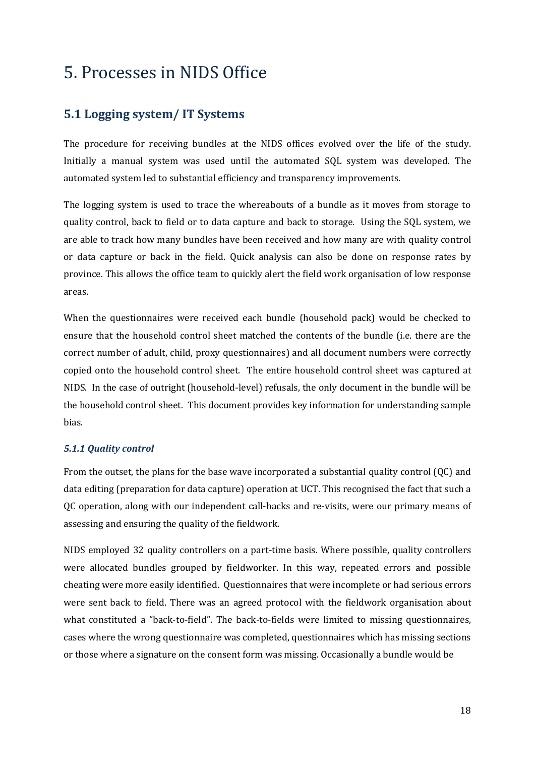## <span id="page-20-0"></span>5. Processes in NIDS Office

### <span id="page-20-1"></span>**5.1 Logging system/ IT Systems**

The procedure for receiving bundles at the NIDS offices evolved over the life of the study. Initially a manual system was used until the automated SQL system was developed. The automated system led to substantial efficiency and transparency improvements.

The logging system is used to trace the whereabouts of a bundle as it moves from storage to quality control, back to field or to data capture and back to storage. Using the SQL system, we are able to track how many bundles have been received and how many are with quality control or data capture or back in the field. Quick analysis can also be done on response rates by province. This allows the office team to quickly alert the field work organisation of low response areas.

When the questionnaires were received each bundle (household pack) would be checked to ensure that the household control sheet matched the contents of the bundle (i.e. there are the correct number of adult, child, proxy questionnaires) and all document numbers were correctly copied onto the household control sheet. The entire household control sheet was captured at NIDS. In the case of outright (household-level) refusals, the only document in the bundle will be the household control sheet. This document provides key information for understanding sample bias.

#### <span id="page-20-2"></span>*5.1.1 Quality control*

From the outset, the plans for the base wave incorporated a substantial quality control (QC) and data editing (preparation for data capture) operation at UCT. This recognised the fact that such a QC operation, along with our independent call-backs and re-visits, were our primary means of assessing and ensuring the quality of the fieldwork.

NIDS employed 32 quality controllers on a part-time basis. Where possible, quality controllers were allocated bundles grouped by fieldworker. In this way, repeated errors and possible cheating were more easily identified. Questionnaires that were incomplete or had serious errors were sent back to field. There was an agreed protocol with the fieldwork organisation about what constituted a "back-to-field". The back-to-fields were limited to missing questionnaires, cases where the wrong questionnaire was completed, questionnaires which has missing sections or those where a signature on the consent form was missing. Occasionally a bundle would be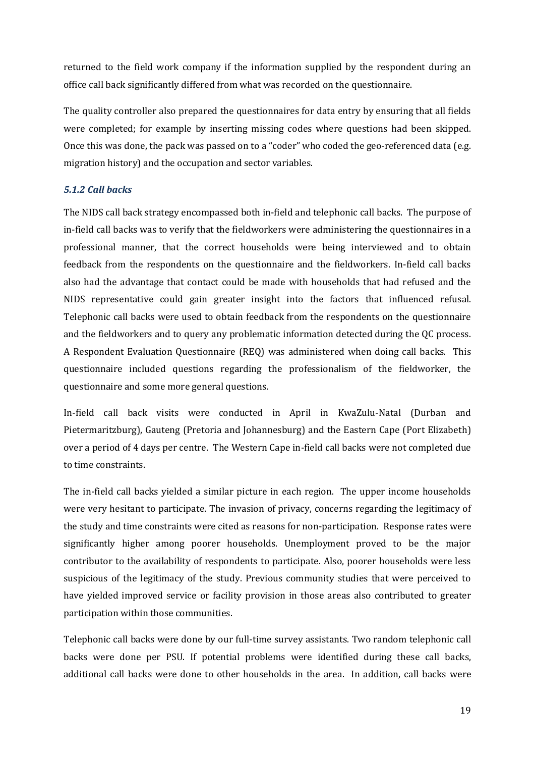returned to the field work company if the information supplied by the respondent during an office call back significantly differed from what was recorded on the questionnaire.

The quality controller also prepared the questionnaires for data entry by ensuring that all fields were completed; for example by inserting missing codes where questions had been skipped. Once this was done, the pack was passed on to a "coder" who coded the geo-referenced data (e.g. migration history) and the occupation and sector variables.

#### <span id="page-21-0"></span>*5.1.2 Call backs*

The NIDS call back strategy encompassed both in-field and telephonic call backs. The purpose of in-field call backs was to verify that the fieldworkers were administering the questionnaires in a professional manner, that the correct households were being interviewed and to obtain feedback from the respondents on the questionnaire and the fieldworkers. In-field call backs also had the advantage that contact could be made with households that had refused and the NIDS representative could gain greater insight into the factors that influenced refusal. Telephonic call backs were used to obtain feedback from the respondents on the questionnaire and the fieldworkers and to query any problematic information detected during the QC process. A Respondent Evaluation Questionnaire (REQ) was administered when doing call backs. This questionnaire included questions regarding the professionalism of the fieldworker, the questionnaire and some more general questions.

In-field call back visits were conducted in April in KwaZulu-Natal (Durban and Pietermaritzburg), Gauteng (Pretoria and Johannesburg) and the Eastern Cape (Port Elizabeth) over a period of 4 days per centre. The Western Cape in-field call backs were not completed due to time constraints.

The in-field call backs yielded a similar picture in each region. The upper income households were very hesitant to participate. The invasion of privacy, concerns regarding the legitimacy of the study and time constraints were cited as reasons for non-participation. Response rates were significantly higher among poorer households. Unemployment proved to be the major contributor to the availability of respondents to participate. Also, poorer households were less suspicious of the legitimacy of the study. Previous community studies that were perceived to have yielded improved service or facility provision in those areas also contributed to greater participation within those communities.

Telephonic call backs were done by our full-time survey assistants. Two random telephonic call backs were done per PSU. If potential problems were identified during these call backs, additional call backs were done to other households in the area. In addition, call backs were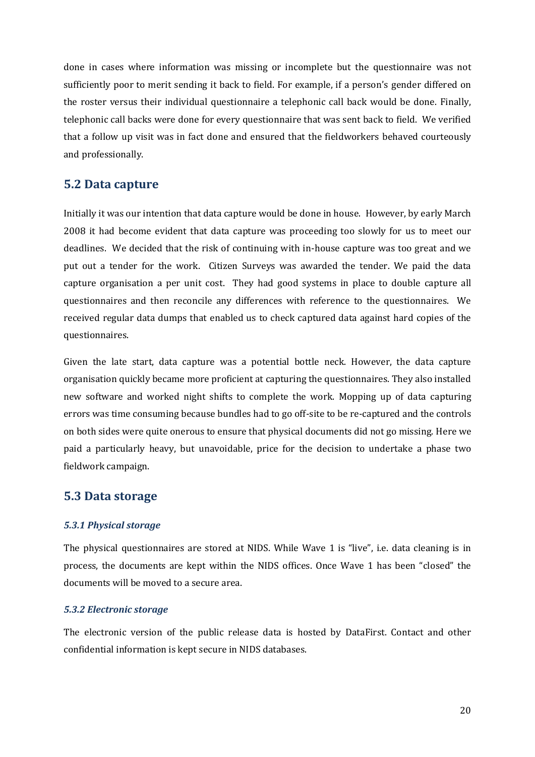done in cases where information was missing or incomplete but the questionnaire was not sufficiently poor to merit sending it back to field. For example, if a person's gender differed on the roster versus their individual questionnaire a telephonic call back would be done. Finally, telephonic call backs were done for every questionnaire that was sent back to field. We verified that a follow up visit was in fact done and ensured that the fieldworkers behaved courteously and professionally.

#### <span id="page-22-0"></span>**5.2 Data capture**

Initially it was our intention that data capture would be done in house. However, by early March 2008 it had become evident that data capture was proceeding too slowly for us to meet our deadlines. We decided that the risk of continuing with in-house capture was too great and we put out a tender for the work. Citizen Surveys was awarded the tender. We paid the data capture organisation a per unit cost. They had good systems in place to double capture all questionnaires and then reconcile any differences with reference to the questionnaires. We received regular data dumps that enabled us to check captured data against hard copies of the questionnaires.

Given the late start, data capture was a potential bottle neck. However, the data capture organisation quickly became more proficient at capturing the questionnaires. They also installed new software and worked night shifts to complete the work. Mopping up of data capturing errors was time consuming because bundles had to go off-site to be re-captured and the controls on both sides were quite onerous to ensure that physical documents did not go missing. Here we paid a particularly heavy, but unavoidable, price for the decision to undertake a phase two fieldwork campaign.

#### <span id="page-22-1"></span>**5.3 Data storage**

#### <span id="page-22-2"></span>*5.3.1 Physical storage*

The physical questionnaires are stored at NIDS. While Wave 1 is "live", i.e. data cleaning is in process, the documents are kept within the NIDS offices. Once Wave 1 has been "closed" the documents will be moved to a secure area.

#### <span id="page-22-3"></span>*5.3.2 Electronic storage*

The electronic version of the public release data is hosted by DataFirst. Contact and other confidential information is kept secure in NIDS databases.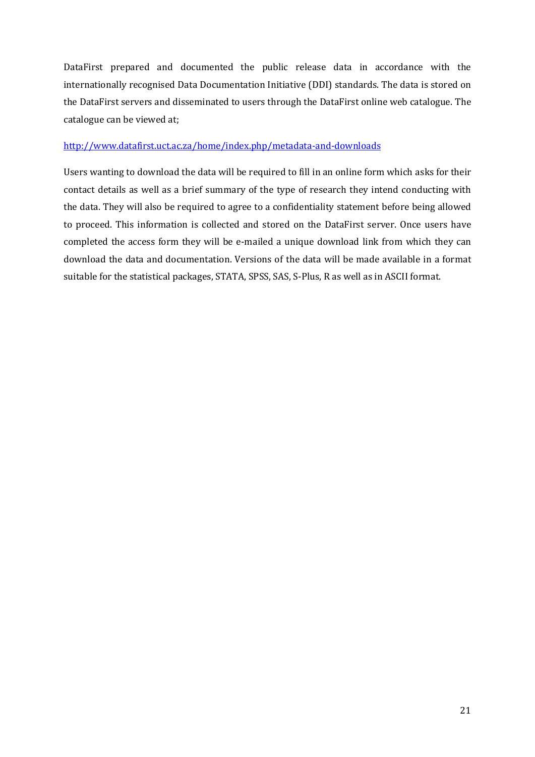DataFirst prepared and documented the public release data in accordance with the internationally recognised Data Documentation Initiative (DDI) standards. The data is stored on the DataFirst servers and disseminated to users through the DataFirst online web catalogue. The catalogue can be viewed at;

#### <http://www.datafirst.uct.ac.za/home/index.php/metadata-and-downloads>

Users wanting to download the data will be required to fill in an online form which asks for their contact details as well as a brief summary of the type of research they intend conducting with the data. They will also be required to agree to a confidentiality statement before being allowed to proceed. This information is collected and stored on the DataFirst server. Once users have completed the access form they will be e-mailed a unique download link from which they can download the data and documentation. Versions of the data will be made available in a format suitable for the statistical packages, STATA, SPSS, SAS, S-Plus, R as well as in ASCII format.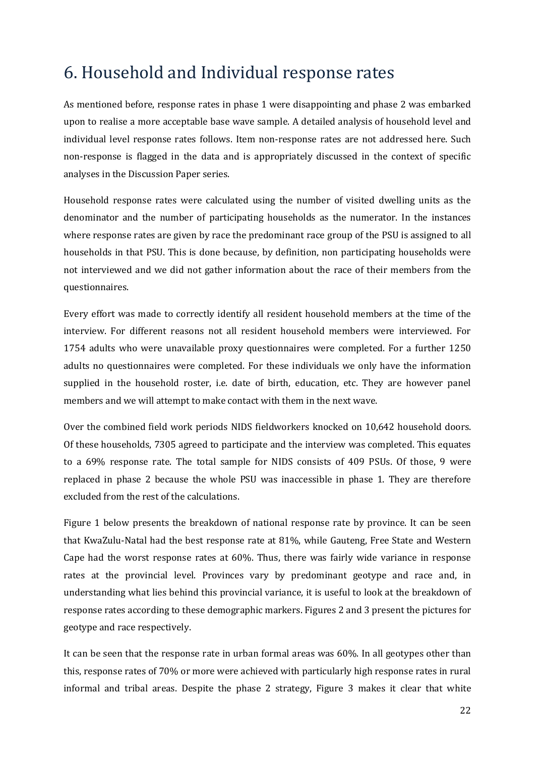## <span id="page-24-0"></span>6. Household and Individual response rates

As mentioned before, response rates in phase 1 were disappointing and phase 2 was embarked upon to realise a more acceptable base wave sample. A detailed analysis of household level and individual level response rates follows. Item non-response rates are not addressed here. Such non-response is flagged in the data and is appropriately discussed in the context of specific analyses in the Discussion Paper series.

Household response rates were calculated using the number of visited dwelling units as the denominator and the number of participating households as the numerator. In the instances where response rates are given by race the predominant race group of the PSU is assigned to all households in that PSU. This is done because, by definition, non participating households were not interviewed and we did not gather information about the race of their members from the questionnaires.

Every effort was made to correctly identify all resident household members at the time of the interview. For different reasons not all resident household members were interviewed. For 1754 adults who were unavailable proxy questionnaires were completed. For a further 1250 adults no questionnaires were completed. For these individuals we only have the information supplied in the household roster, i.e. date of birth, education, etc. They are however panel members and we will attempt to make contact with them in the next wave.

Over the combined field work periods NIDS fieldworkers knocked on 10,642 household doors. Of these households, 7305 agreed to participate and the interview was completed. This equates to a 69% response rate. The total sample for NIDS consists of 409 PSUs. Of those, 9 were replaced in phase 2 because the whole PSU was inaccessible in phase 1. They are therefore excluded from the rest of the calculations.

Figure 1 below presents the breakdown of national response rate by province. It can be seen that KwaZulu-Natal had the best response rate at 81%, while Gauteng, Free State and Western Cape had the worst response rates at 60%. Thus, there was fairly wide variance in response rates at the provincial level. Provinces vary by predominant geotype and race and, in understanding what lies behind this provincial variance, it is useful to look at the breakdown of response rates according to these demographic markers. Figures 2 and 3 present the pictures for geotype and race respectively.

It can be seen that the response rate in urban formal areas was 60%. In all geotypes other than this, response rates of 70% or more were achieved with particularly high response rates in rural informal and tribal areas. Despite the phase 2 strategy, Figure 3 makes it clear that white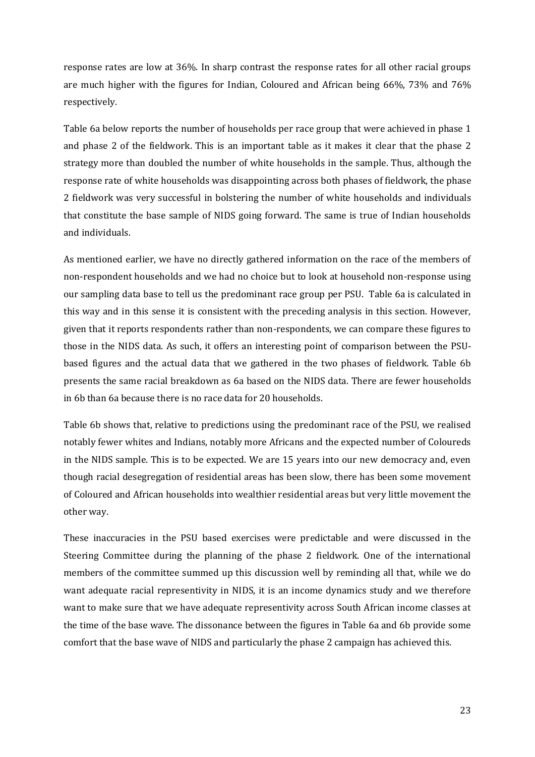response rates are low at 36%. In sharp contrast the response rates for all other racial groups are much higher with the figures for Indian, Coloured and African being 66%, 73% and 76% respectively.

Table 6a below reports the number of households per race group that were achieved in phase 1 and phase 2 of the fieldwork. This is an important table as it makes it clear that the phase 2 strategy more than doubled the number of white households in the sample. Thus, although the response rate of white households was disappointing across both phases of fieldwork, the phase 2 fieldwork was very successful in bolstering the number of white households and individuals that constitute the base sample of NIDS going forward. The same is true of Indian households and individuals.

As mentioned earlier, we have no directly gathered information on the race of the members of non-respondent households and we had no choice but to look at household non-response using our sampling data base to tell us the predominant race group per PSU. Table 6a is calculated in this way and in this sense it is consistent with the preceding analysis in this section. However, given that it reports respondents rather than non-respondents, we can compare these figures to those in the NIDS data. As such, it offers an interesting point of comparison between the PSUbased figures and the actual data that we gathered in the two phases of fieldwork. Table 6b presents the same racial breakdown as 6a based on the NIDS data. There are fewer households in 6b than 6a because there is no race data for 20 households.

Table 6b shows that, relative to predictions using the predominant race of the PSU, we realised notably fewer whites and Indians, notably more Africans and the expected number of Coloureds in the NIDS sample. This is to be expected. We are 15 years into our new democracy and, even though racial desegregation of residential areas has been slow, there has been some movement of Coloured and African households into wealthier residential areas but very little movement the other way.

These inaccuracies in the PSU based exercises were predictable and were discussed in the Steering Committee during the planning of the phase 2 fieldwork. One of the international members of the committee summed up this discussion well by reminding all that, while we do want adequate racial representivity in NIDS, it is an income dynamics study and we therefore want to make sure that we have adequate representivity across South African income classes at the time of the base wave. The dissonance between the figures in Table 6a and 6b provide some comfort that the base wave of NIDS and particularly the phase 2 campaign has achieved this.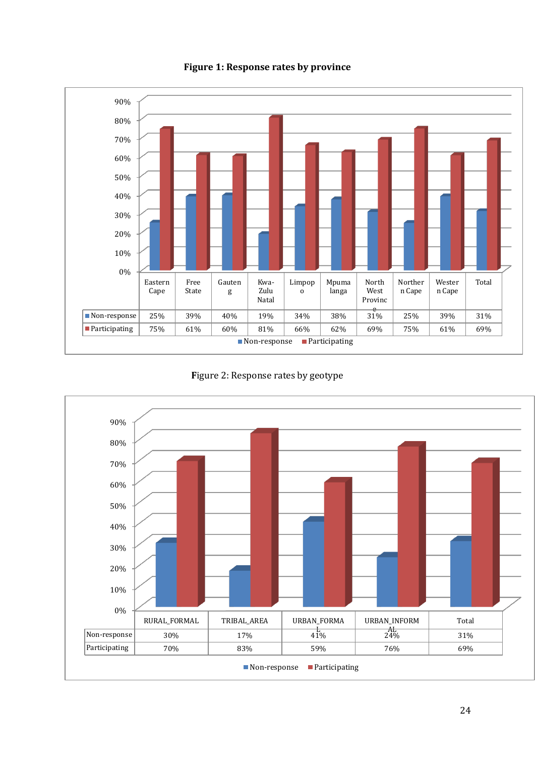

**Figure 1: Response rates by province**

**F**igure 2: Response rates by geotype

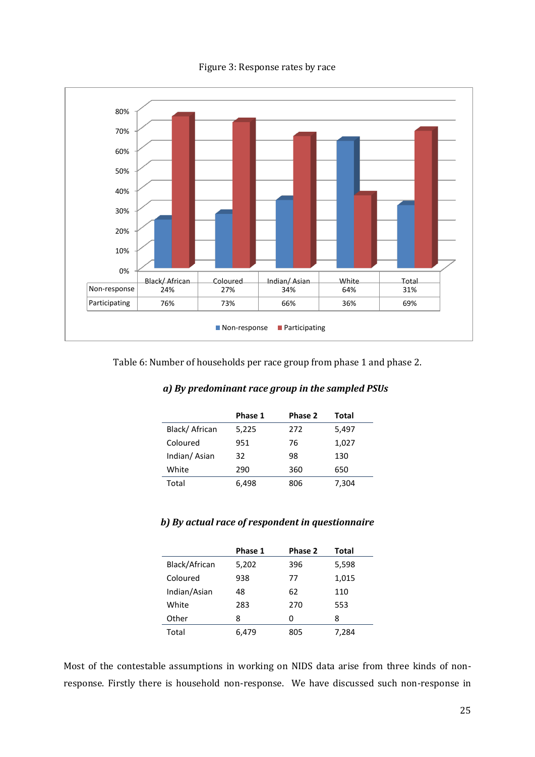Figure 3: Response rates by race



Table 6: Number of households per race group from phase 1 and phase 2.

|               | Phase 1 | Phase 2 | Total |
|---------------|---------|---------|-------|
| Black/African | 5,225   | 272     | 5,497 |
| Coloured      | 951     | 76      | 1,027 |
| Indian/Asian  | 32      | 98      | 130   |
| White         | 290     | 360     | 650   |
| Total         | 6.498   | 806     | 7,304 |

#### *b) By actual race of respondent in questionnaire*

|               | Phase 1 | Phase 2 | Total |
|---------------|---------|---------|-------|
| Black/African | 5,202   | 396     | 5,598 |
| Coloured      | 938     | 77      | 1,015 |
| Indian/Asian  | 48      | 62      | 110   |
| White         | 283     | 270     | 553   |
| Other         | 8       | 0       | 8     |
| Total         | 6.479   | 805     | 7,284 |

Most of the contestable assumptions in working on NIDS data arise from three kinds of nonresponse. Firstly there is household non-response. We have discussed such non-response in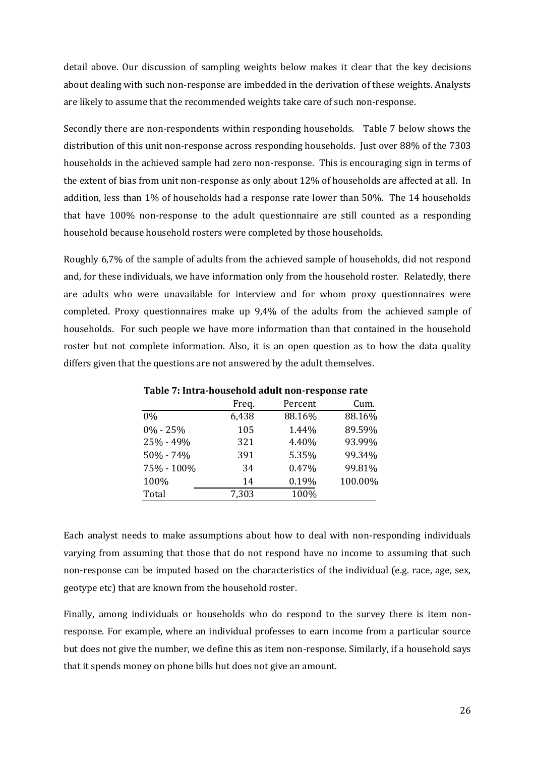detail above. Our discussion of sampling weights below makes it clear that the key decisions about dealing with such non-response are imbedded in the derivation of these weights. Analysts are likely to assume that the recommended weights take care of such non-response.

Secondly there are non-respondents within responding households. Table 7 below shows the distribution of this unit non-response across responding households. Just over 88% of the 7303 households in the achieved sample had zero non-response. This is encouraging sign in terms of the extent of bias from unit non-response as only about 12% of households are affected at all. In addition, less than 1% of households had a response rate lower than 50%. The 14 households that have 100% non-response to the adult questionnaire are still counted as a responding household because household rosters were completed by those households.

Roughly 6,7% of the sample of adults from the achieved sample of households, did not respond and, for these individuals, we have information only from the household roster. Relatedly, there are adults who were unavailable for interview and for whom proxy questionnaires were completed. Proxy questionnaires make up 9,4% of the adults from the achieved sample of households. For such people we have more information than that contained in the household roster but not complete information. Also, it is an open question as to how the data quality differs given that the questions are not answered by the adult themselves.

| 1 apro 71 meta noabenora aaant non 1 coponse 1 ate |       |         |         |  |  |
|----------------------------------------------------|-------|---------|---------|--|--|
|                                                    | Freq. | Percent | Cum.    |  |  |
| $0\%$                                              | 6,438 | 88.16%  | 88.16%  |  |  |
| $0\% - 25\%$                                       | 105   | 1.44%   | 89.59%  |  |  |
| 25% - 49%                                          | 321   | 4.40%   | 93.99%  |  |  |
| 50% - 74%                                          | 391   | 5.35%   | 99.34%  |  |  |
| 75% - 100%                                         | 34    | 0.47%   | 99.81%  |  |  |
| 100%                                               | 14    | 0.19%   | 100.00% |  |  |
| Total                                              | 7,303 | 100%    |         |  |  |

**Table 7: Intra-household adult non-response rate**

Each analyst needs to make assumptions about how to deal with non-responding individuals varying from assuming that those that do not respond have no income to assuming that such non-response can be imputed based on the characteristics of the individual (e.g. race, age, sex, geotype etc) that are known from the household roster.

Finally, among individuals or households who do respond to the survey there is item nonresponse. For example, where an individual professes to earn income from a particular source but does not give the number, we define this as item non-response. Similarly, if a household says that it spends money on phone bills but does not give an amount.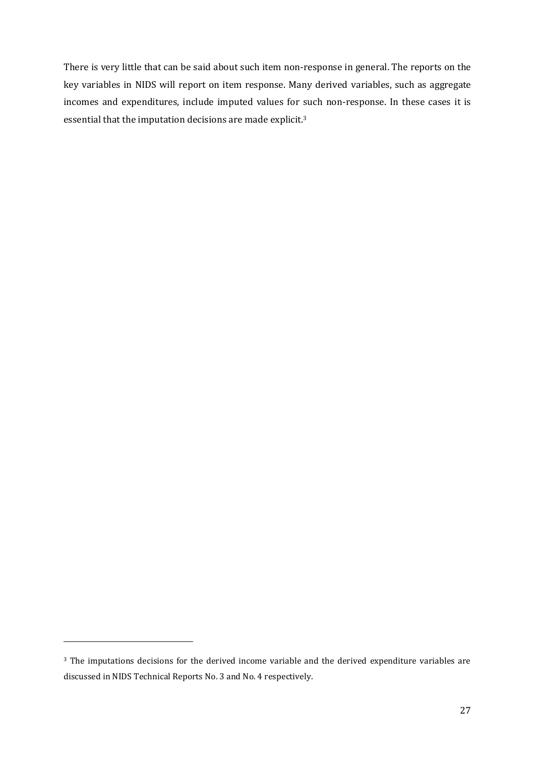There is very little that can be said about such item non-response in general. The reports on the key variables in NIDS will report on item response. Many derived variables, such as aggregate incomes and expenditures, include imputed values for such non-response. In these cases it is essential that the imputation decisions are made explicit.<sup>3</sup>

 $\overline{\phantom{0}}$ 

<sup>&</sup>lt;sup>3</sup> The imputations decisions for the derived income variable and the derived expenditure variables are discussed in NIDS Technical Reports No. 3 and No. 4 respectively.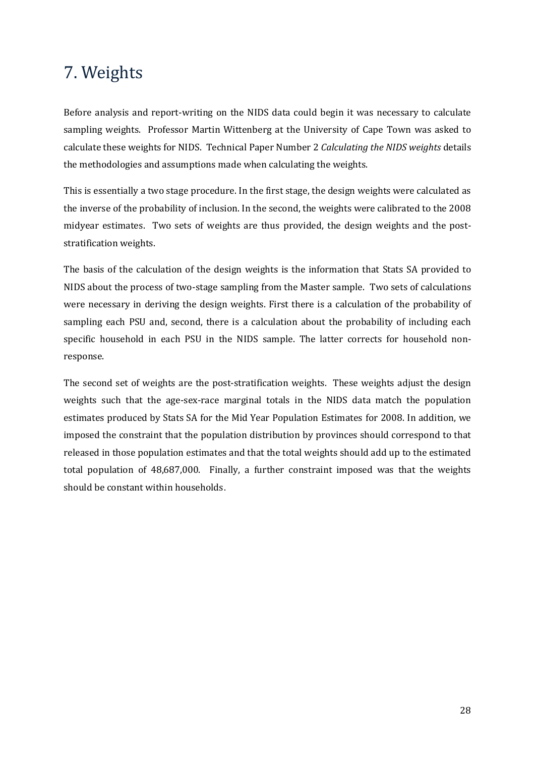## <span id="page-30-0"></span>7. Weights

Before analysis and report-writing on the NIDS data could begin it was necessary to calculate sampling weights. Professor Martin Wittenberg at the University of Cape Town was asked to calculate these weights for NIDS. Technical Paper Number 2 *Calculating the NIDS weights* details the methodologies and assumptions made when calculating the weights.

This is essentially a two stage procedure. In the first stage, the design weights were calculated as the inverse of the probability of inclusion. In the second, the weights were calibrated to the 2008 midyear estimates. Two sets of weights are thus provided, the design weights and the poststratification weights.

The basis of the calculation of the design weights is the information that Stats SA provided to NIDS about the process of two-stage sampling from the Master sample. Two sets of calculations were necessary in deriving the design weights. First there is a calculation of the probability of sampling each PSU and, second, there is a calculation about the probability of including each specific household in each PSU in the NIDS sample. The latter corrects for household nonresponse.

The second set of weights are the post-stratification weights. These weights adjust the design weights such that the age-sex-race marginal totals in the NIDS data match the population estimates produced by Stats SA for the Mid Year Population Estimates for 2008. In addition, we imposed the constraint that the population distribution by provinces should correspond to that released in those population estimates and that the total weights should add up to the estimated total population of 48,687,000. Finally, a further constraint imposed was that the weights should be constant within households.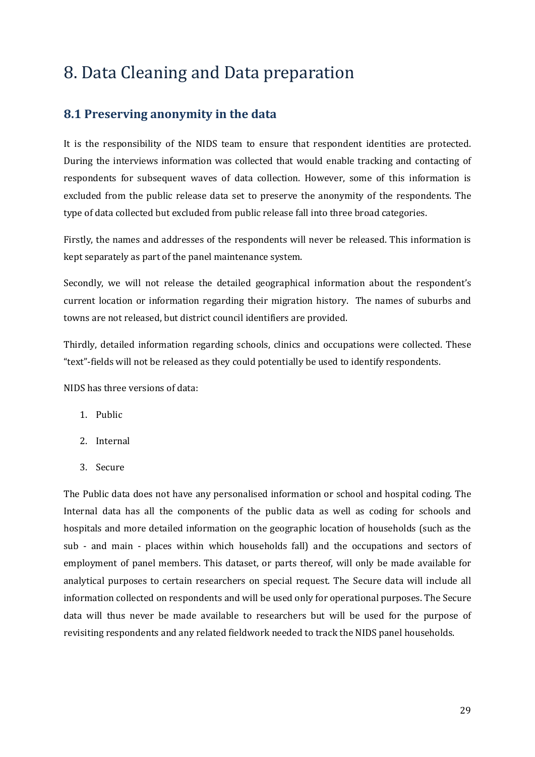## <span id="page-31-0"></span>8. Data Cleaning and Data preparation

## <span id="page-31-1"></span>**8.1 Preserving anonymity in the data**

It is the responsibility of the NIDS team to ensure that respondent identities are protected. During the interviews information was collected that would enable tracking and contacting of respondents for subsequent waves of data collection. However, some of this information is excluded from the public release data set to preserve the anonymity of the respondents. The type of data collected but excluded from public release fall into three broad categories.

Firstly, the names and addresses of the respondents will never be released. This information is kept separately as part of the panel maintenance system.

Secondly, we will not release the detailed geographical information about the respondent's current location or information regarding their migration history. The names of suburbs and towns are not released, but district council identifiers are provided.

Thirdly, detailed information regarding schools, clinics and occupations were collected. These "text"-fields will not be released as they could potentially be used to identify respondents.

NIDS has three versions of data:

- 1. Public
- 2. Internal
- 3. Secure

The Public data does not have any personalised information or school and hospital coding. The Internal data has all the components of the public data as well as coding for schools and hospitals and more detailed information on the geographic location of households (such as the sub - and main - places within which households fall) and the occupations and sectors of employment of panel members. This dataset, or parts thereof, will only be made available for analytical purposes to certain researchers on special request. The Secure data will include all information collected on respondents and will be used only for operational purposes. The Secure data will thus never be made available to researchers but will be used for the purpose of revisiting respondents and any related fieldwork needed to track the NIDS panel households.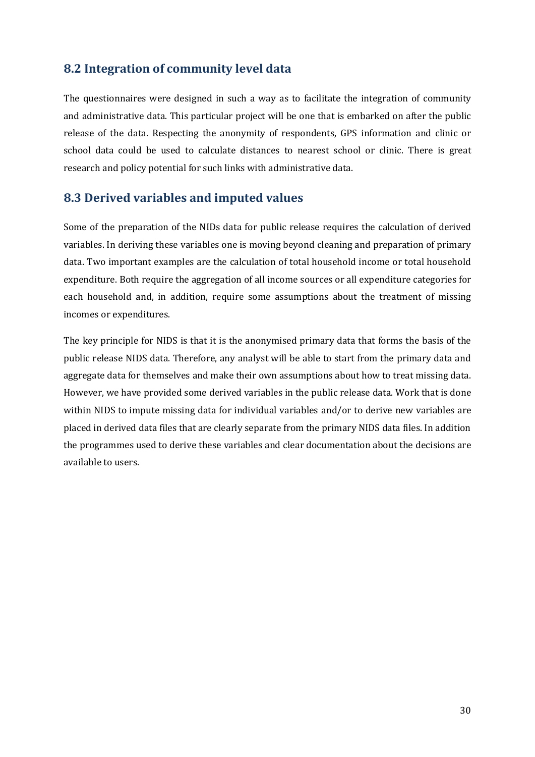### <span id="page-32-0"></span>**8.2 Integration of community level data**

The questionnaires were designed in such a way as to facilitate the integration of community and administrative data. This particular project will be one that is embarked on after the public release of the data. Respecting the anonymity of respondents, GPS information and clinic or school data could be used to calculate distances to nearest school or clinic. There is great research and policy potential for such links with administrative data.

### <span id="page-32-1"></span>**8.3 Derived variables and imputed values**

Some of the preparation of the NIDs data for public release requires the calculation of derived variables. In deriving these variables one is moving beyond cleaning and preparation of primary data. Two important examples are the calculation of total household income or total household expenditure. Both require the aggregation of all income sources or all expenditure categories for each household and, in addition, require some assumptions about the treatment of missing incomes or expenditures.

The key principle for NIDS is that it is the anonymised primary data that forms the basis of the public release NIDS data. Therefore, any analyst will be able to start from the primary data and aggregate data for themselves and make their own assumptions about how to treat missing data. However, we have provided some derived variables in the public release data. Work that is done within NIDS to impute missing data for individual variables and/or to derive new variables are placed in derived data files that are clearly separate from the primary NIDS data files. In addition the programmes used to derive these variables and clear documentation about the decisions are available to users.